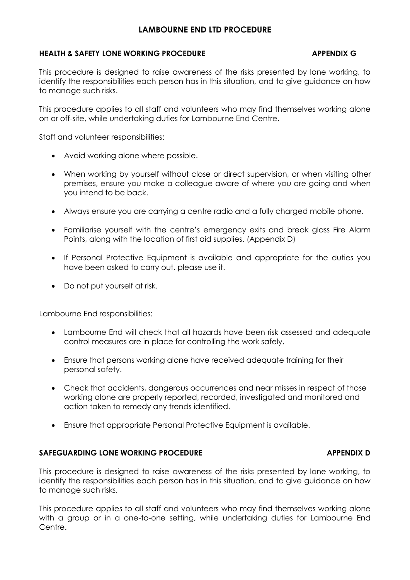# **LAMBOURNE END LTD PROCEDURE**

## **HEALTH & SAFETY LONE WORKING PROCEDURE APPENDIX G**

This procedure is designed to raise awareness of the risks presented by lone working, to identify the responsibilities each person has in this situation, and to give guidance on how to manage such risks.

This procedure applies to all staff and volunteers who may find themselves working alone on or off-site, while undertaking duties for Lambourne End Centre.

Staff and volunteer responsibilities:

- Avoid working alone where possible.
- When working by yourself without close or direct supervision, or when visiting other premises, ensure you make a colleague aware of where you are going and when you intend to be back.
- Always ensure you are carrying a centre radio and a fully charged mobile phone.
- Familiarise yourself with the centre's emergency exits and break glass Fire Alarm Points, along with the location of first aid supplies. (Appendix D)
- If Personal Protective Equipment is available and appropriate for the duties you have been asked to carry out, please use it.
- Do not put yourself at risk.

Lambourne End responsibilities:

- Lambourne End will check that all hazards have been risk assessed and adequate control measures are in place for controlling the work safely.
- Ensure that persons working alone have received adequate training for their personal safety.
- Check that accidents, dangerous occurrences and near misses in respect of those working alone are properly reported, recorded, investigated and monitored and action taken to remedy any trends identified.
- Ensure that appropriate Personal Protective Equipment is available.

### **SAFEGUARDING LONE WORKING PROCEDURE APPENDIX D**

This procedure is designed to raise awareness of the risks presented by lone working, to identify the responsibilities each person has in this situation, and to give guidance on how to manage such risks.

This procedure applies to all staff and volunteers who may find themselves working alone with a group or in a one-to-one setting, while undertaking duties for Lambourne End Centre.